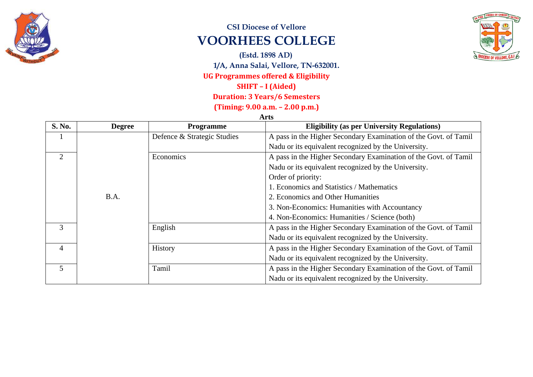

## **CSI Diocese of Vellore VOORHEES COLLEGE**

**(Estd. 1898 AD)**

**1/A, Anna Salai, Vellore, TN-632001.**

#### **UG Programmes offered & Eligibility**

#### **SHIFT – I (Aided)**

## **Duration: 3 Years/6 Semesters**

**(Timing: 9.00 a.m. – 2.00 p.m.)**

**Arts**

| S. No.                      | <b>Degree</b> | <b>Programme</b>            | <b>Eligibility (as per University Regulations)</b>               |
|-----------------------------|---------------|-----------------------------|------------------------------------------------------------------|
|                             |               | Defence & Strategic Studies | A pass in the Higher Secondary Examination of the Govt. of Tamil |
|                             |               |                             | Nadu or its equivalent recognized by the University.             |
| $\mathcal{D}_{\mathcal{L}}$ |               | Economics                   | A pass in the Higher Secondary Examination of the Govt. of Tamil |
|                             |               |                             | Nadu or its equivalent recognized by the University.             |
|                             |               |                             | Order of priority:                                               |
|                             |               |                             | 1. Economics and Statistics / Mathematics                        |
|                             | B.A.          |                             | 2. Economics and Other Humanities                                |
|                             |               |                             | 3. Non-Economics: Humanities with Accountancy                    |
|                             |               |                             | 4. Non-Economics: Humanities / Science (both)                    |
| 3                           |               | English                     | A pass in the Higher Secondary Examination of the Govt. of Tamil |
|                             |               |                             | Nadu or its equivalent recognized by the University.             |
| $\overline{4}$              |               | History                     | A pass in the Higher Secondary Examination of the Govt. of Tamil |
|                             |               |                             | Nadu or its equivalent recognized by the University.             |
| 5                           |               | Tamil                       | A pass in the Higher Secondary Examination of the Govt. of Tamil |
|                             |               |                             | Nadu or its equivalent recognized by the University.             |